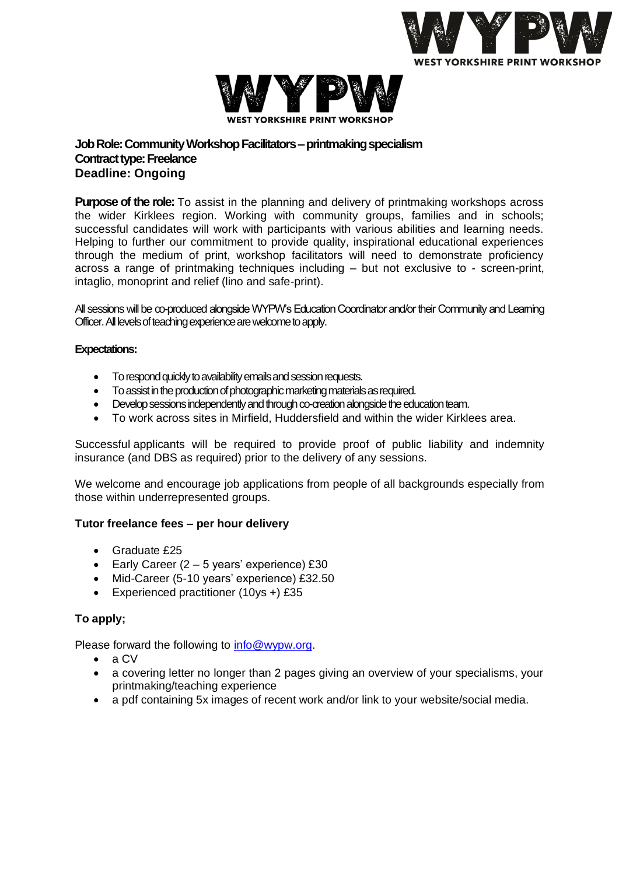



# **Job Role: Community Workshop Facilitators – printmaking specialism Contract type: Freelance Deadline: Ongoing**

**Purpose of the role:** To assist in the planning and delivery of printmaking workshops across the wider Kirklees region. Working with community groups, families and in schools; successful candidates will work with participants with various abilities and learning needs. Helping to further our commitment to provide quality, inspirational educational experiences through the medium of print, workshop facilitators will need to demonstrate proficiency across a range of printmaking techniques including – but not exclusive to - screen-print, intaglio, monoprint and relief (lino and safe-print).

All sessions will be co-produced alongside WYPW's Education Coordinator and/or their Community and Learning Officer. All levels of teaching experience arewelcome to apply.

#### **Expectations:**

- To respond quickly to availability emails and session requests.
- To assist in the production of photographic marketing materials as required.
- Develop sessions independently and through co-creation alongside the education team.
- To work across sites in Mirfield, Huddersfield and within the wider Kirklees area.

Successful applicants will be required to provide proof of public liability and indemnity insurance (and DBS as required) prior to the delivery of any sessions.

We welcome and encourage job applications from people of all backgrounds especially from those within underrepresented groups.

### **Tutor freelance fees – per hour delivery**

- Graduate £25
- Early Career  $(2 5$  years' experience) £30
- Mid-Career (5-10 years' experience) £32.50
- Experienced practitioner (10ys +) £35

### **To apply;**

Please forward the following to [info@wypw.org.](mailto:info@wypw.org)

- a CV
- a covering letter no longer than 2 pages giving an overview of your specialisms, your printmaking/teaching experience
- a pdf containing 5x images of recent work and/or link to your website/social media.